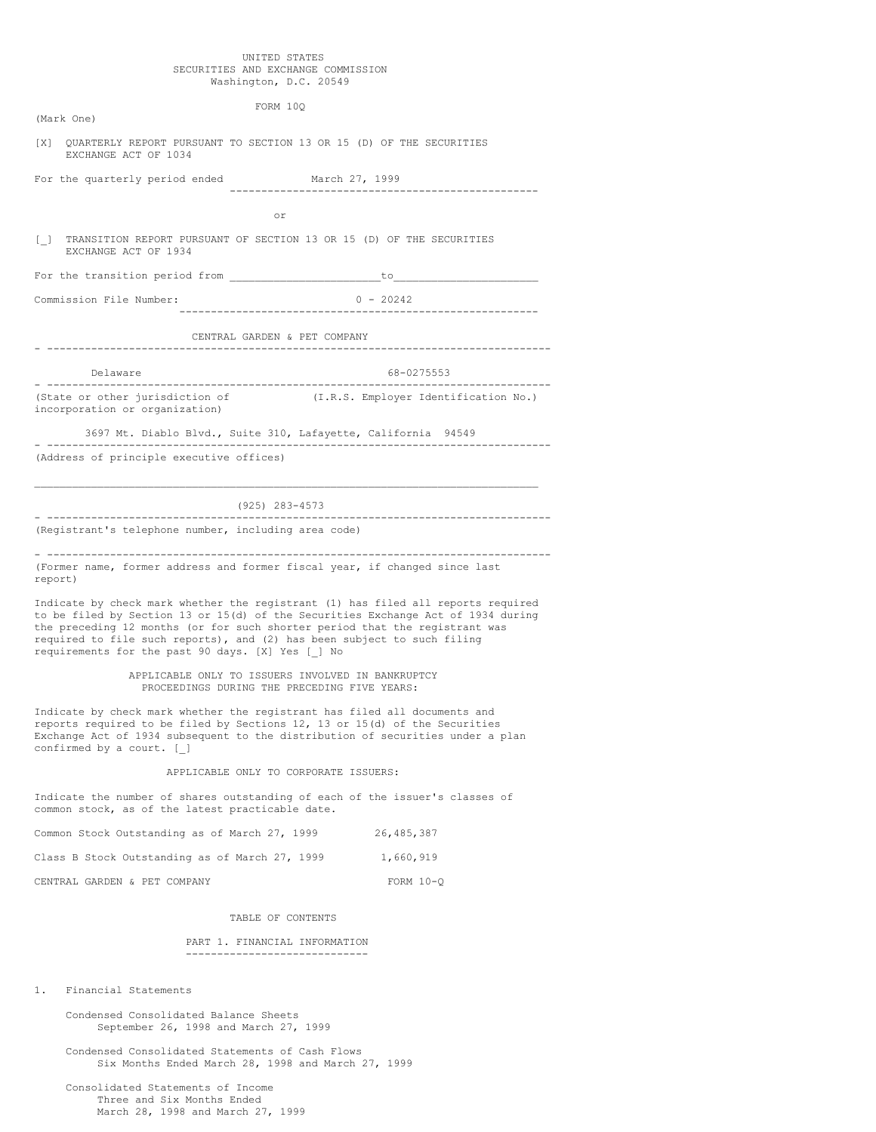#### UNITED STATES SECURITIES AND EXCHANGE COMMISSION Washington, D.C. 20549

FORM 10Q

[X] QUARTERLY REPORT PURSUANT TO SECTION 13 OR 15 (D) OF THE SECURITIES EXCHANGE ACT OF 1034

For the quarterly period ended March 27, 1999 -------------------------------------------------

or

[\_] TRANSITION REPORT PURSUANT OF SECTION 13 OR 15 (D) OF THE SECURITIES EXCHANGE ACT OF 1934

For the transition period from \_\_\_\_\_\_\_\_\_\_\_\_\_\_\_\_\_\_\_\_\_\_\_\_to\_\_\_\_\_\_\_\_\_\_\_\_\_\_\_\_\_\_\_\_\_\_\_

Commission File Number: 0 - 20242

(Mark One)

---------------------------------------------------------

CENTRAL GARDEN & PET COMPANY

- --------------------------------------------------------------------------------

Delaware 68-0275553 - --------------------------------------------------------------------------------

(State or other jurisdiction of (I.R.S. Employer Identification No.) incorporation or organization)

3697 Mt. Diablo Blvd., Suite 310, Lafayette, California 94549 - -------------------------------------------------------------------------------- (Address of principle executive offices)

 $\_$  ,  $\_$  ,  $\_$  ,  $\_$  ,  $\_$  ,  $\_$  ,  $\_$  ,  $\_$  ,  $\_$  ,  $\_$  ,  $\_$  ,  $\_$  ,  $\_$  ,  $\_$  ,  $\_$  ,  $\_$  ,  $\_$  ,  $\_$  ,  $\_$  ,  $\_$ (925) 283-4573 - --------------------------------------------------------------------------------

(Registrant's telephone number, including area code)

- -------------------------------------------------------------------------------- (Former name, former address and former fiscal year, if changed since last report)

Indicate by check mark whether the registrant (1) has filed all reports required to be filed by Section 13 or 15(d) of the Securities Exchange Act of 1934 during the preceding 12 months (or for such shorter period that the registrant was required to file such reports), and (2) has been subject to such filing requirements for the past 90 days. [X] Yes [\_] No

> APPLICABLE ONLY TO ISSUERS INVOLVED IN BANKRUPTCY PROCEEDINGS DURING THE PRECEDING FIVE YEARS:

Indicate by check mark whether the registrant has filed all documents and reports required to be filed by Sections 12, 13 or 15(d) of the Securities Exchange Act of 1934 subsequent to the distribution of securities under a plan confirmed by a court. [\_]

#### APPLICABLE ONLY TO CORPORATE ISSUERS:

Indicate the number of shares outstanding of each of the issuer's classes of common stock, as of the latest practicable date.

|  | Common Stock Outstanding as of March 27, 1999  |  |  | 26,485,387  |  |
|--|------------------------------------------------|--|--|-------------|--|
|  | Class B Stock Outstanding as of March 27, 1999 |  |  | 1,660,919   |  |
|  | CENTRAL GARDEN & PET COMPANY                   |  |  | $FORM 10-0$ |  |

#### TABLE OF CONTENTS

### PART 1. FINANCIAL INFORMATION -----------------------------

1. Financial Statements

Condensed Consolidated Balance Sheets September 26, 1998 and March 27, 1999

Condensed Consolidated Statements of Cash Flows Six Months Ended March 28, 1998 and March 27, 1999

Consolidated Statements of Income Three and Six Months Ended March 28, 1998 and March 27, 1999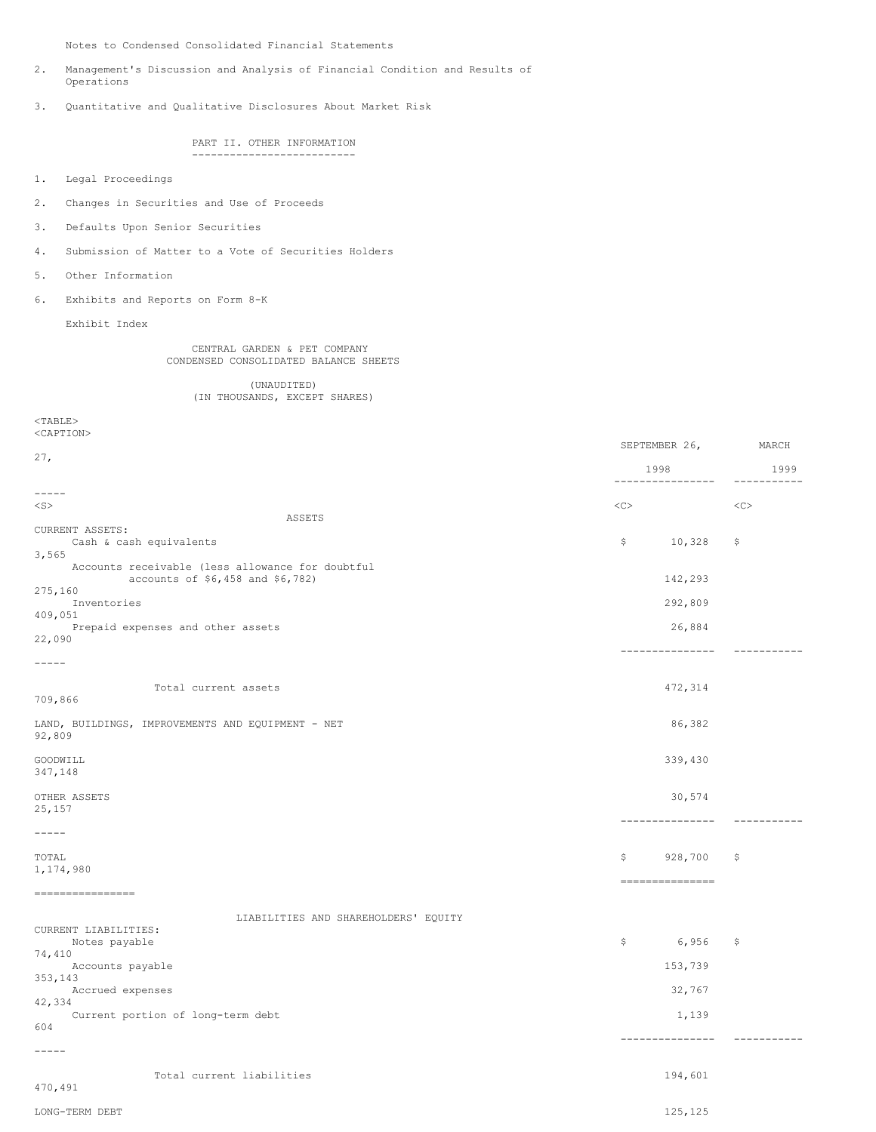Notes to Condensed Consolidated Financial Statements

- 2. Management's Discussion and Analysis of Financial Condition and Results of Operations
- 3. Quantitative and Qualitative Disclosures About Market Risk

PART II. OTHER INFORMATION --------------------------

- 1. Legal Proceedings
- 2. Changes in Securities and Use of Proceeds
- 3. Defaults Upon Senior Securities
- 4. Submission of Matter to a Vote of Securities Holders
- 5. Other Information
- 6. Exhibits and Reports on Form 8-K

Exhibit Index

CENTRAL GARDEN & PET COMPANY CONDENSED CONSOLIDATED BALANCE SHEETS

(UNAUDITED) (IN THOUSANDS, EXCEPT SHARES)

<TABLE>

<CAPTION>

|                                                                                      |              | SEPTEMBER 26,            | MARCH                   |
|--------------------------------------------------------------------------------------|--------------|--------------------------|-------------------------|
| 27,                                                                                  |              | 1998<br>---------------- | 1999<br>$- - - - - - -$ |
| $- - - - -$                                                                          |              |                          |                         |
| $<$ S $>$                                                                            | $<<$ $<$ $>$ |                          | <<                      |
| ASSETS<br>CURRENT ASSETS:<br>Cash & cash equivalents                                 | \$           | 10,328                   | \$                      |
| 3,565                                                                                |              |                          |                         |
| Accounts receivable (less allowance for doubtful<br>accounts of \$6,458 and \$6,782) |              | 142,293                  |                         |
| 275,160<br>Inventories                                                               |              | 292,809                  |                         |
| 409,051<br>Prepaid expenses and other assets                                         |              | 26,884                   |                         |
| 22,090                                                                               |              | ---------------          |                         |
| $------$                                                                             |              |                          |                         |
| Total current assets<br>709,866                                                      |              | 472,314                  |                         |
| LAND, BUILDINGS, IMPROVEMENTS AND EQUIPMENT - NET<br>92,809                          |              | 86,382                   |                         |
| GOODWILL<br>347,148                                                                  |              | 339,430                  |                         |
| OTHER ASSETS<br>25,157                                                               |              | 30,574                   |                         |
| $\qquad \qquad - - - - -$                                                            |              | ---------------          | -----------             |
|                                                                                      |              |                          |                         |
| TOTAL<br>1,174,980                                                                   | \$           | 928,700                  | \$                      |
| $=$ = = = = = = = = = = = = = = = =                                                  |              | ===============          |                         |
| LIABILITIES AND SHAREHOLDERS' EQUITY                                                 |              |                          |                         |
| CURRENT LIABILITIES:                                                                 | \$           | 6,956                    | \$                      |
| Notes payable<br>74,410                                                              |              | 153,739                  |                         |
| Accounts payable<br>353,143                                                          |              |                          |                         |
| Accrued expenses<br>42,334                                                           |              | 32,767                   |                         |
| Current portion of long-term debt<br>604                                             |              | 1,139                    |                         |
| $- - - - -$                                                                          |              | ------------             |                         |
|                                                                                      |              |                          |                         |
| Total current liabilities<br>470,491                                                 |              | 194,601                  |                         |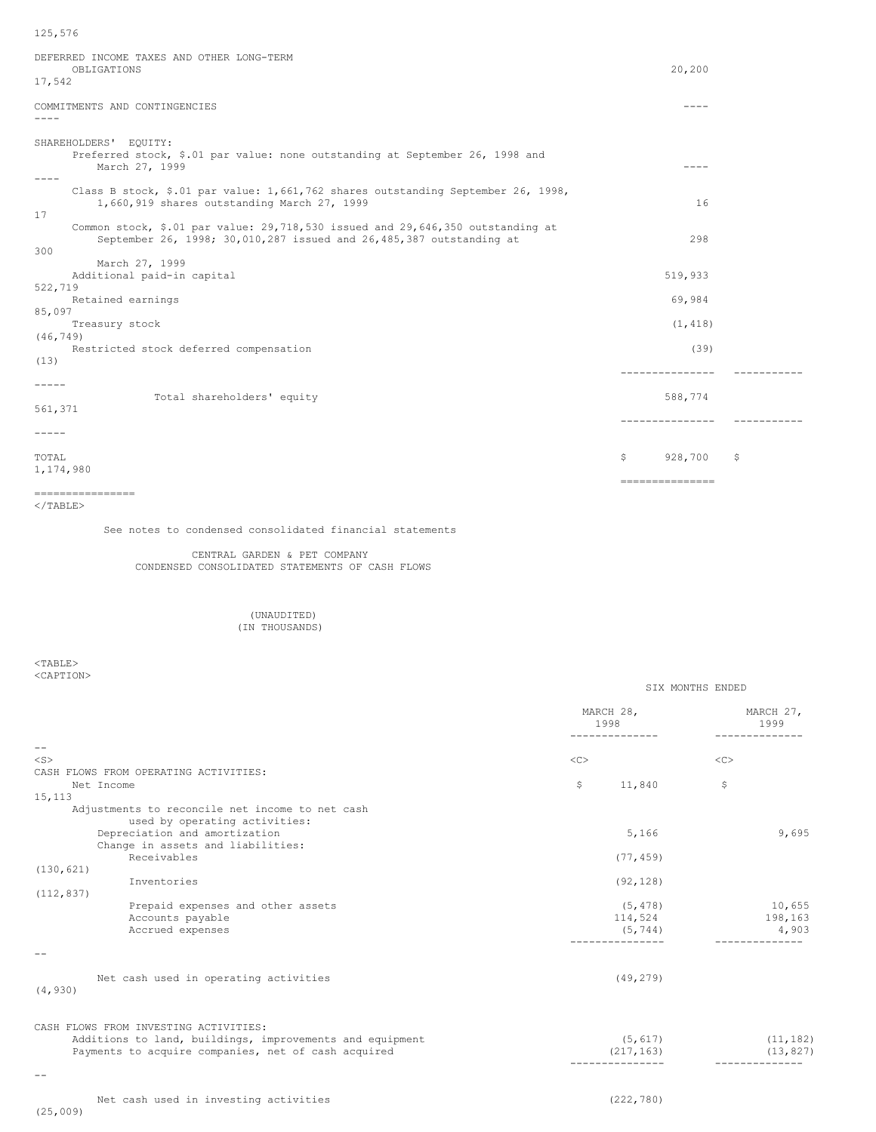125,576

| DEFERRED INCOME TAXES AND OTHER LONG-TERM<br>OBLIGATIONS<br>17,542                                                                                                 | 20,200                     |           |
|--------------------------------------------------------------------------------------------------------------------------------------------------------------------|----------------------------|-----------|
| COMMITMENTS AND CONTINGENCIES                                                                                                                                      | $- - - -$                  |           |
| SHAREHOLDERS' EQUITY:<br>Preferred stock, \$.01 par value: none outstanding at September 26, 1998 and<br>March 27, 1999                                            | $- - - -$                  |           |
| Class B stock, \$.01 par value: 1,661,762 shares outstanding September 26, 1998,<br>1,660,919 shares outstanding March 27, 1999                                    | 16                         |           |
| 17<br>Common stock, \$.01 par value: 29,718,530 issued and 29,646,350 outstanding at<br>September 26, 1998; 30,010,287 issued and 26,485,387 outstanding at<br>300 | 298                        |           |
| March 27, 1999<br>Additional paid-in capital<br>522,719                                                                                                            | 519,933                    |           |
| Retained earnings                                                                                                                                                  | 69,984                     |           |
| 85,097<br>Treasury stock<br>(46, 749)                                                                                                                              | (1, 418)                   |           |
| Restricted stock deferred compensation<br>(13)                                                                                                                     | (39)                       |           |
| -----<br>Total shareholders' equity<br>561,371                                                                                                                     | ---------------<br>588,774 | --------  |
| -----                                                                                                                                                              | ---------------            | --------- |
| TOTAL<br>1,174,980                                                                                                                                                 | \$<br>928,700              | \$        |
| ================<br>$<$ /TABLE>                                                                                                                                    | ===============            |           |

See notes to condensed consolidated financial statements

## CENTRAL GARDEN & PET COMPANY CONDENSED CONSOLIDATED STATEMENTS OF CASH FLOWS

#### (UNAUDITED) (IN THOUSANDS)

 $<$ TABLE $>$ <CAPTION>

|                                                          |           | MARCH 28,<br>1998   |        | MARCH 27,<br>1999 |
|----------------------------------------------------------|-----------|---------------------|--------|-------------------|
| $ -$                                                     |           |                     |        |                   |
| $<$ S>                                                   | $<\infty$ |                     | $<$ C> |                   |
| CASH FLOWS FROM OPERATING ACTIVITIES:                    |           |                     |        |                   |
| Net Income                                               | \$        | 11,840              | \$     |                   |
| 15,113                                                   |           |                     |        |                   |
| Adjustments to reconcile net income to net cash          |           |                     |        |                   |
| used by operating activities:                            |           |                     |        |                   |
| Depreciation and amortization                            |           | 5,166               |        | 9,695             |
| Change in assets and liabilities:                        |           |                     |        |                   |
| Receivables                                              |           | (77, 459)           |        |                   |
| (130, 621)                                               |           |                     |        |                   |
| Inventories                                              |           | (92, 128)           |        |                   |
| (112, 837)                                               |           |                     |        |                   |
| Prepaid expenses and other assets<br>Accounts payable    |           | (5, 478)            |        | 10,655            |
| Accrued expenses                                         |           | 114,524<br>(5, 744) |        | 198,163<br>4,903  |
|                                                          |           |                     |        |                   |
|                                                          |           |                     |        |                   |
| Net cash used in operating activities                    |           | (49, 279)           |        |                   |
| (4, 930)                                                 |           |                     |        |                   |
| CASH FLOWS FROM INVESTING ACTIVITIES:                    |           |                     |        |                   |
| Additions to land, buildings, improvements and equipment |           | (5, 617)            |        | (11, 182)         |
| Payments to acquire companies, net of cash acquired      |           | (217, 163)          |        | (13, 827)         |
|                                                          |           |                     |        | ------------      |
| $ -$                                                     |           |                     |        |                   |
| Net cash used in investing activities                    |           | (222, 780)          |        |                   |
| (25, 009)                                                |           |                     |        |                   |

SIX MONTHS ENDED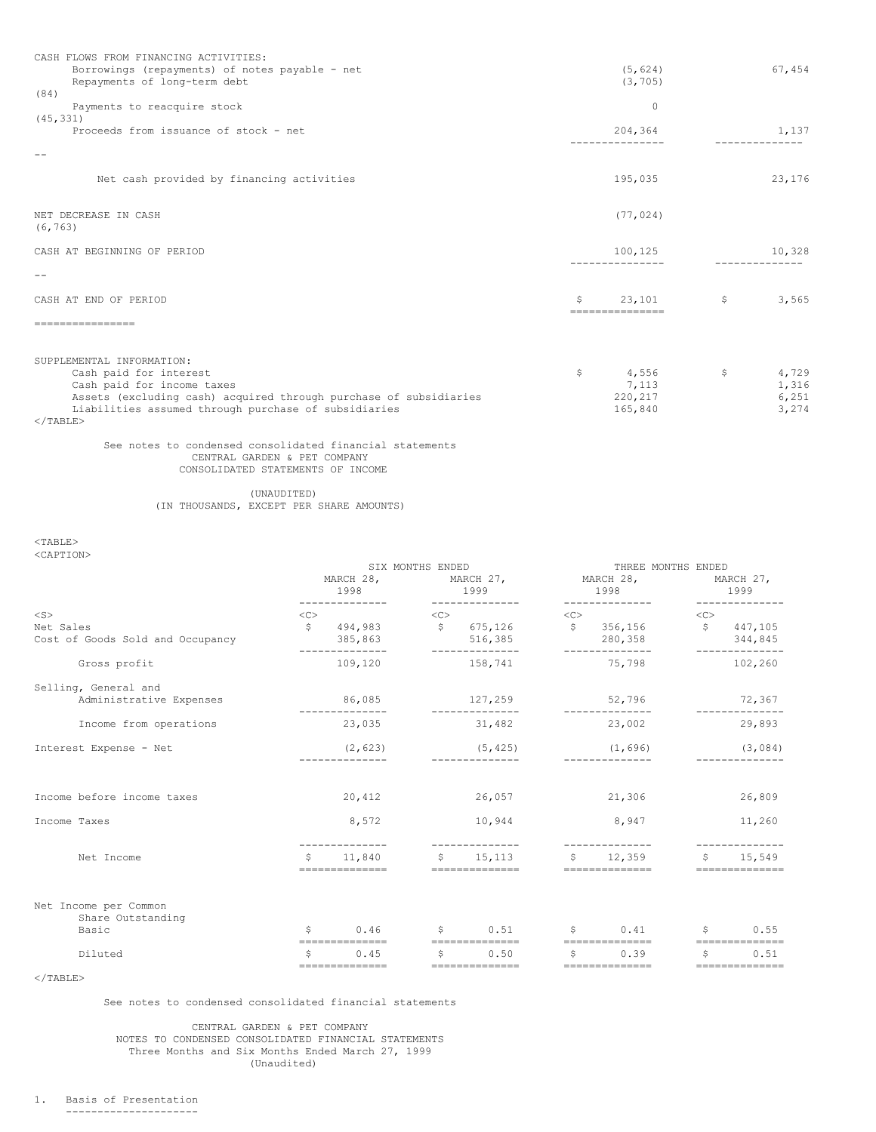| CASH FLOWS FROM FINANCING ACTIVITIES:<br>Borrowings (repayments) of notes payable - net<br>Repayments of long-term debt<br>(84)                        | (5, 624)<br>(3, 705)            |              | 67,454                  |
|--------------------------------------------------------------------------------------------------------------------------------------------------------|---------------------------------|--------------|-------------------------|
| Payments to reacquire stock                                                                                                                            | $\Omega$                        |              |                         |
| (45, 331)<br>Proceeds from issuance of stock - net                                                                                                     | 204,364                         | -----------  | 1,137                   |
|                                                                                                                                                        |                                 |              |                         |
| Net cash provided by financing activities                                                                                                              | 195,035                         |              | 23,176                  |
| NET DECREASE IN CASH<br>(6, 763)                                                                                                                       | (77, 024)                       |              |                         |
| CASH AT BEGINNING OF PERIOD                                                                                                                            | 100,125                         |              | 10,328                  |
|                                                                                                                                                        |                                 |              | ------------            |
| CASH AT END OF PERIOD                                                                                                                                  | \$<br>23,101                    | \$           | 3,565                   |
| ================                                                                                                                                       | ===============                 |              |                         |
| SUPPLEMENTAL INFORMATION:<br>Cash paid for interest<br>Cash paid for income taxes<br>Assets (excluding cash) acquired through purchase of subsidiaries | \$<br>4,556<br>7,113<br>220,217 | $\mathsf{S}$ | 4,729<br>1,316<br>6,251 |
| Liabilities assumed through purchase of subsidiaries<br>$<$ /TABLE>                                                                                    | 165,840                         |              | 3,274                   |

### See notes to condensed consolidated financial statements CENTRAL GARDEN & PET COMPANY CONSOLIDATED STATEMENTS OF INCOME

(UNAUDITED) (IN THOUSANDS, EXCEPT PER SHARE AMOUNTS)

 $<$ TABLE> <CAPTION>

|                                                            | MARCH 28,<br>1998 |                                                                                                        | SIX MONTHS ENDED | MARCH 27,<br>1999                                                                                                                                                                                                                                                                                                                                                                                                                                                                                                                                 | MARCH 28,<br>1998                 |                                                                    | THREE MONTHS ENDED<br>MARCH 27,<br>1999 |                                                                            |  |
|------------------------------------------------------------|-------------------|--------------------------------------------------------------------------------------------------------|------------------|---------------------------------------------------------------------------------------------------------------------------------------------------------------------------------------------------------------------------------------------------------------------------------------------------------------------------------------------------------------------------------------------------------------------------------------------------------------------------------------------------------------------------------------------------|-----------------------------------|--------------------------------------------------------------------|-----------------------------------------|----------------------------------------------------------------------------|--|
|                                                            |                   | --------------                                                                                         |                  | --------------                                                                                                                                                                                                                                                                                                                                                                                                                                                                                                                                    |                                   | --------------                                                     |                                         |                                                                            |  |
| $<$ S $>$<br>Net Sales<br>Cost of Goods Sold and Occupancy | <<                | $\frac{1}{2}$ 494,983 $\frac{1}{2}$ 5 675,126 $\frac{1}{2}$ 5 356,156 $\frac{1}{2}$ 447,105<br>385,863 |                  | $\langle C \rangle$<br>516, 385                                                                                                                                                                                                                                                                                                                                                                                                                                                                                                                   | $<<$ $<$ $<$ $>$<br>$\frac{1}{1}$ | 280,358                                                            | <<                                      | 344,845                                                                    |  |
| Gross profit                                               |                   | 109,120 158,741                                                                                        |                  | ---------                                                                                                                                                                                                                                                                                                                                                                                                                                                                                                                                         |                                   | --------<br>75,798                                                 |                                         | 102,260                                                                    |  |
| Selling, General and<br>Administrative Expenses            |                   | 86,085<br>______________                                                                               |                  | 127, 259<br>______________                                                                                                                                                                                                                                                                                                                                                                                                                                                                                                                        |                                   | 52,796<br>______________                                           |                                         | 72,367                                                                     |  |
| Income from operations                                     |                   | 23,035                                                                                                 |                  | 31,482                                                                                                                                                                                                                                                                                                                                                                                                                                                                                                                                            |                                   | 23,002                                                             |                                         | 29,893                                                                     |  |
| Interest Expense - Net                                     |                   | $(2, 623)$ $(5, 425)$                                                                                  |                  | _______________                                                                                                                                                                                                                                                                                                                                                                                                                                                                                                                                   |                                   | (1, 696)<br>______________                                         |                                         | (3,084)                                                                    |  |
| Income before income taxes                                 |                   | 20,412                                                                                                 |                  | 26,057                                                                                                                                                                                                                                                                                                                                                                                                                                                                                                                                            |                                   | 21,306                                                             |                                         | 26,809                                                                     |  |
| Income Taxes                                               |                   | 8,572                                                                                                  |                  | 10,944                                                                                                                                                                                                                                                                                                                                                                                                                                                                                                                                            |                                   | 8,947                                                              |                                         | 11,260                                                                     |  |
| Net Income                                                 | \$                | ==============                                                                                         |                  | $\begin{array}{cccccccccc} \multicolumn{2}{c}{{\color{red}\boldsymbol{=}}} & \multicolumn{2}{c}{{\color{red}\boldsymbol{=}}} & \multicolumn{2}{c}{{\color{red}\boldsymbol{=}}} & \multicolumn{2}{c}{{\color{red}\boldsymbol{=}}} & \multicolumn{2}{c}{{\color{red}\boldsymbol{=}}} & \multicolumn{2}{c}{{\color{red}\boldsymbol{=}}} & \multicolumn{2}{c}{{\color{red}\boldsymbol{=}}} & \multicolumn{2}{c}{{\color{red}\boldsymbol{=}}} & \multicolumn{2}{c}{{\color{red}\boldsymbol{=}}} & \multicolumn{2}{c}{{\color{red}\boldsymbol{=}}} & \$ |                                   | --------------<br>11,840 $\frac{1}{5}$ 15,113 $\frac{1}{5}$ 12,359 |                                         | \$15,549<br>$=$ = = = = = = = = = = = = = =                                |  |
| Net Income per Common<br>Share Outstanding                 |                   |                                                                                                        |                  |                                                                                                                                                                                                                                                                                                                                                                                                                                                                                                                                                   |                                   |                                                                    |                                         |                                                                            |  |
| Basic                                                      | \$                | 0.46 \$ 0.51 \$ 0.41                                                                                   |                  |                                                                                                                                                                                                                                                                                                                                                                                                                                                                                                                                                   |                                   |                                                                    |                                         | $S \t 0.55$                                                                |  |
| Diluted                                                    | S                 | ==============<br>0.45                                                                                 |                  | $\begin{array}{cc} 5 & 0.50 \end{array}$<br>==============                                                                                                                                                                                                                                                                                                                                                                                                                                                                                        | $\mathfrak{S}$                    | 0.39<br>==============                                             | S.                                      | $=$ = = = = = = = = = = = = = =<br>0.51<br>$=$ = = = = = = = = = = = = = = |  |

 $\langle$ /TABLE>

See notes to condensed consolidated financial statements

CENTRAL GARDEN & PET COMPANY NOTES TO CONDENSED CONSOLIDATED FINANCIAL STATEMENTS Three Months and Six Months Ended March 27, 1999 (Unaudited)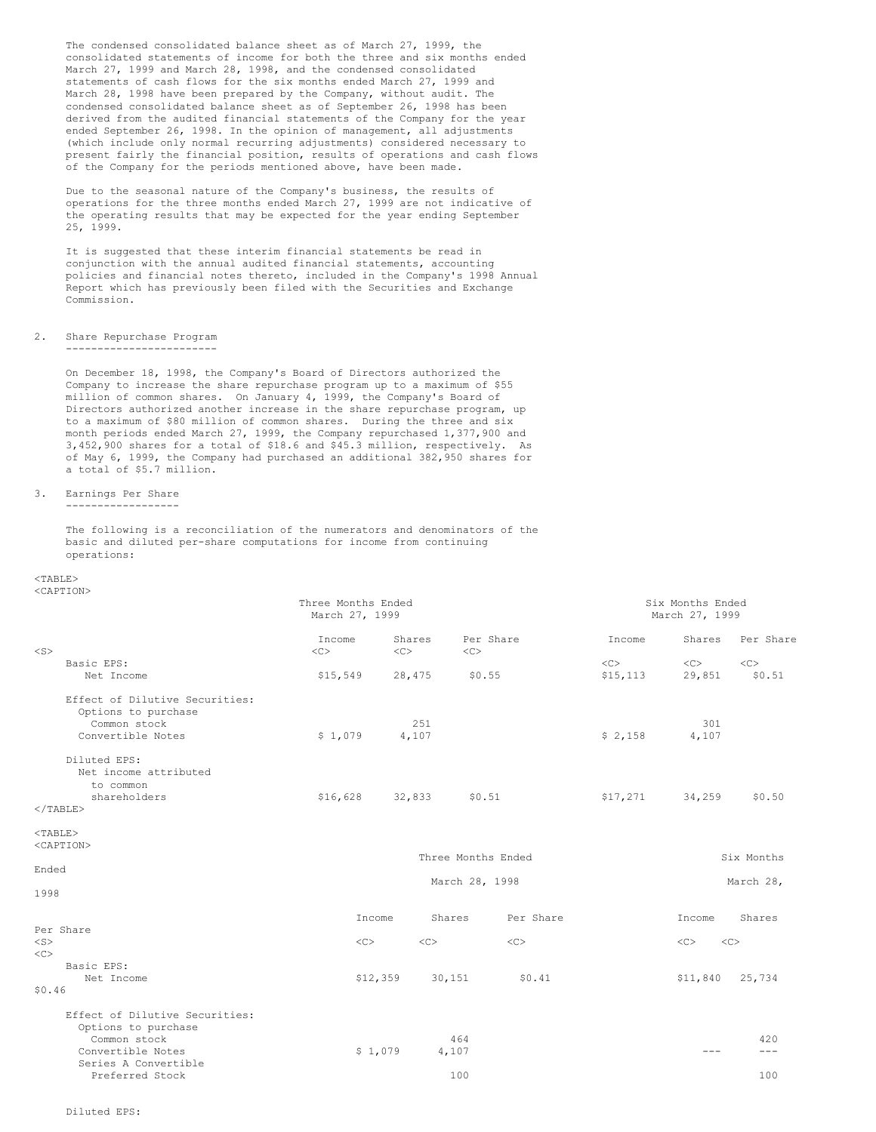The condensed consolidated balance sheet as of March 27, 1999, the consolidated statements of income for both the three and six months ended March 27, 1999 and March 28, 1998, and the condensed consolidated statements of cash flows for the six months ended March 27, 1999 and March 28, 1998 have been prepared by the Company, without audit. The condensed consolidated balance sheet as of September 26, 1998 has been derived from the audited financial statements of the Company for the year ended September 26, 1998. In the opinion of management, all adjustments (which include only normal recurring adjustments) considered necessary to present fairly the financial position, results of operations and cash flows of the Company for the periods mentioned above, have been made.

Due to the seasonal nature of the Company's business, the results of operations for the three months ended March 27, 1999 are not indicative of the operating results that may be expected for the year ending September 25, 1999.

It is suggested that these interim financial statements be read in conjunction with the annual audited financial statements, accounting policies and financial notes thereto, included in the Company's 1998 Annual Report which has previously been filed with the Securities and Exchange Commission.

## 2. Share Repurchase Program ------------------------

On December 18, 1998, the Company's Board of Directors authorized the Company to increase the share repurchase program up to a maximum of \$55 million of common shares. On January 4, 1999, the Company's Board of Directors authorized another increase in the share repurchase program, up to a maximum of \$80 million of common shares. During the three and six month periods ended March 27, 1999, the Company repurchased 1,377,900 and 3,452,900 shares for a total of \$18.6 and \$45.3 million, respectively. As of May 6, 1999, the Company had purchased an additional 382,950 shares for a total of \$5.7 million.

# 3. Earnings Per Share

------------------

The following is a reconciliation of the numerators and denominators of the basic and diluted per-share computations for income from continuing operations:

# <TABLE>

| <caption></caption>                                                               |                    |                |        |                           |                  |           |                                    |              |
|-----------------------------------------------------------------------------------|--------------------|----------------|--------|---------------------------|------------------|-----------|------------------------------------|--------------|
|                                                                                   | Three Months Ended | March 27, 1999 |        |                           |                  |           | Six Months Ended<br>March 27, 1999 |              |
| $<$ S $>$                                                                         | Income<br><<       | <<             | Shares | Per Share<br>$<<$ $<$ $>$ |                  | Income    | Shares                             | Per Share    |
| Basic EPS:                                                                        |                    |                |        |                           |                  | <<        | $<<$ $>$                           | $<<$ $<$ $>$ |
| Net Income                                                                        | \$15,549           |                | 28,475 | \$0.55                    |                  | \$15, 113 | 29,851                             | \$0.51       |
| Effect of Dilutive Securities:<br>Options to purchase<br>Common stock             |                    |                | 251    |                           |                  |           | 301                                |              |
| Convertible Notes                                                                 | \$1,079            |                | 4,107  |                           |                  | \$2,158   | 4,107                              |              |
| Diluted EPS:<br>Net income attributed<br>to common<br>shareholders<br>$<$ /TABLE> | \$16,628           |                | 32,833 | \$0.51                    |                  | \$17,271  | 34,259                             | \$0.50       |
| $<$ TABLE>                                                                        |                    |                |        |                           |                  |           |                                    |              |
| <caption></caption>                                                               |                    |                |        |                           |                  |           |                                    |              |
|                                                                                   |                    |                |        | Three Months Ended        |                  |           |                                    | Six Months   |
| Ended                                                                             |                    |                |        |                           |                  |           |                                    |              |
|                                                                                   |                    |                |        | March 28, 1998            |                  |           |                                    | March 28,    |
| 1998                                                                              |                    |                |        |                           |                  |           |                                    |              |
|                                                                                   |                    | Income         | Shares |                           | Per Share        |           | Income                             | Shares       |
| Per Share                                                                         |                    |                |        |                           |                  |           |                                    |              |
| $<$ S>                                                                            |                    | $<<$ $<$ $>$   | <<     |                           | $<<$ $<$ $<$ $>$ |           | <<                                 | <<           |
| $<<$ $C$ $>$                                                                      |                    |                |        |                           |                  |           |                                    |              |
| Basic EPS:                                                                        |                    |                |        |                           |                  |           |                                    |              |
| Net Income                                                                        |                    | \$12,359       | 30,151 |                           | \$0.41           |           | \$11,840                           | 25,734       |
| \$0.46                                                                            |                    |                |        |                           |                  |           |                                    |              |
| Effect of Dilutive Securities:                                                    |                    |                |        |                           |                  |           |                                    |              |
| Options to purchase                                                               |                    |                |        |                           |                  |           |                                    |              |
| Common stock                                                                      |                    |                |        | 464                       |                  |           |                                    | 420          |
| Convertible Notes                                                                 |                    | \$1,079        | 4,107  |                           |                  |           | $- - -$                            | $- - -$      |
| Series A Convertible                                                              |                    |                |        |                           |                  |           |                                    |              |
| Preferred Stock                                                                   |                    |                |        | 100                       |                  |           |                                    | 100          |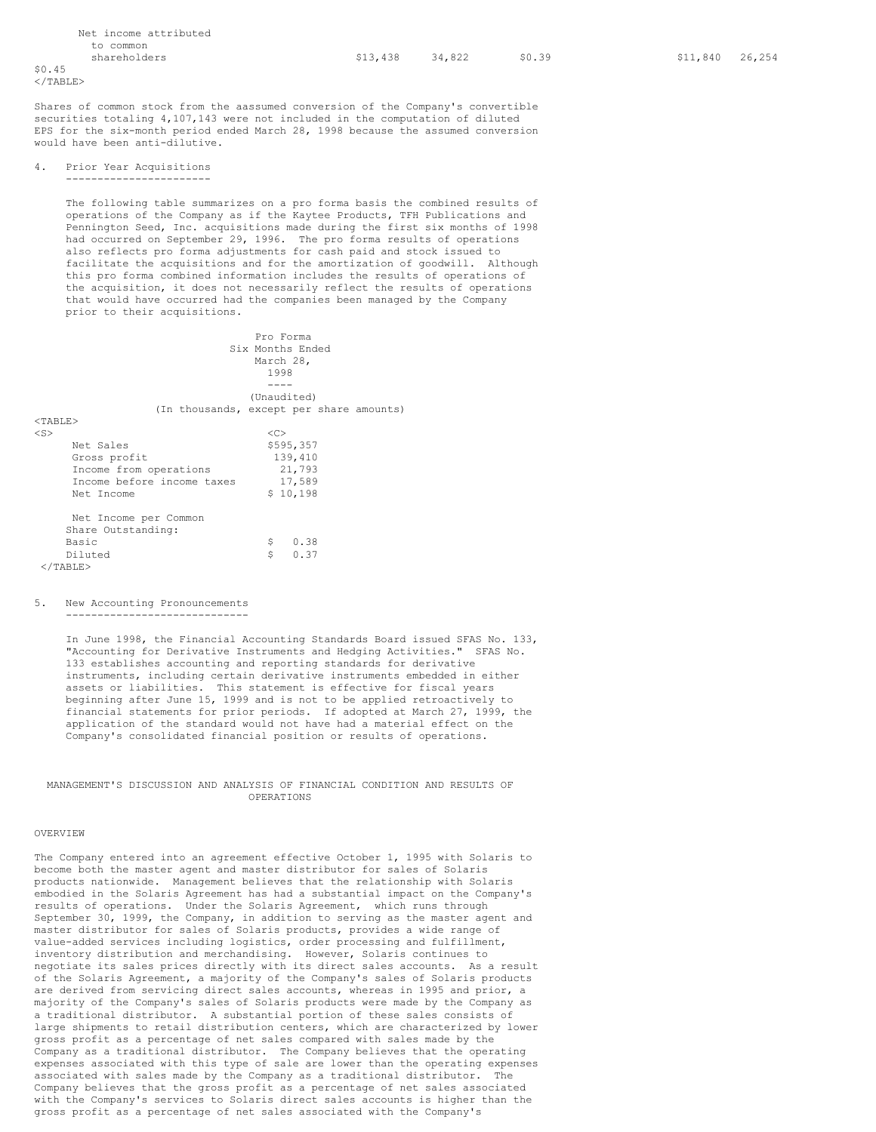|                 |              | Net income attributed |  |
|-----------------|--------------|-----------------------|--|
|                 | to common    |                       |  |
|                 | shareholders |                       |  |
| \$0.45          |              |                       |  |
| $2/T$ ART.F $>$ |              |                       |  |

Shares of common stock from the aassumed conversion of the Company's convertible securities totaling 4,107,143 were not included in the computation of diluted EPS for the six-month period ended March 28, 1998 because the assumed conversion would have been anti-dilutive.

#### 4. Prior Year Acquisitions -----------------------

The following table summarizes on a pro forma basis the combined results of operations of the Company as if the Kaytee Products, TFH Publications and Pennington Seed, Inc. acquisitions made during the first six months of 1998 had occurred on September 29, 1996. The pro forma results of operations also reflects pro forma adjustments for cash paid and stock issued to facilitate the acquisitions and for the amortization of goodwill. Although this pro forma combined information includes the results of operations of the acquisition, it does not necessarily reflect the results of operations that would have occurred had the companies been managed by the Company prior to their acquisitions.

Pro Forma Six Months Ended March 28, 1998 ---- (Unaudited) (In thousands, except per share amounts)  $<$ TABLE> $<$ s  $\langle$ S>  $\langle$ C> Net Sales \$595,357<br>Gross profit \$595,357 Gross profit 139,410<br>Income from operations 21,793 Income from operations Income before income taxes 17,589<br>Net Income 5 10.198  $$10,198$ Net Income per Common Share Outstanding:<br>Basic Basic  $\begin{array}{ccc} 5 & 0.38 \\ 0.37 & 0.37 \end{array}$  $$ 0.37$ </TABLE>

#### 5. New Accounting Pronouncements

-----------------------------

In June 1998, the Financial Accounting Standards Board issued SFAS No. 133, "Accounting for Derivative Instruments and Hedging Activities." SFAS No. 133 establishes accounting and reporting standards for derivative instruments, including certain derivative instruments embedded in either assets or liabilities. This statement is effective for fiscal years beginning after June 15, 1999 and is not to be applied retroactively to financial statements for prior periods. If adopted at March 27, 1999, the application of the standard would not have had a material effect on the Company's consolidated financial position or results of operations.

### MANAGEMENT'S DISCUSSION AND ANALYSIS OF FINANCIAL CONDITION AND RESULTS OF OPERATIONS

#### OVERVIEW

The Company entered into an agreement effective October 1, 1995 with Solaris to become both the master agent and master distributor for sales of Solaris products nationwide. Management believes that the relationship with Solaris embodied in the Solaris Agreement has had a substantial impact on the Company's results of operations. Under the Solaris Agreement, which runs through September 30, 1999, the Company, in addition to serving as the master agent and master distributor for sales of Solaris products, provides a wide range of value-added services including logistics, order processing and fulfillment, inventory distribution and merchandising. However, Solaris continues to negotiate its sales prices directly with its direct sales accounts. As a result of the Solaris Agreement, a majority of the Company's sales of Solaris products are derived from servicing direct sales accounts, whereas in 1995 and prior, a majority of the Company's sales of Solaris products were made by the Company as a traditional distributor. A substantial portion of these sales consists of large shipments to retail distribution centers, which are characterized by lower gross profit as a percentage of net sales compared with sales made by the Company as a traditional distributor. The Company believes that the operating expenses associated with this type of sale are lower than the operating expenses associated with sales made by the Company as a traditional distributor. The Company believes that the gross profit as a percentage of net sales associated with the Company's services to Solaris direct sales accounts is higher than the gross profit as a percentage of net sales associated with the Company's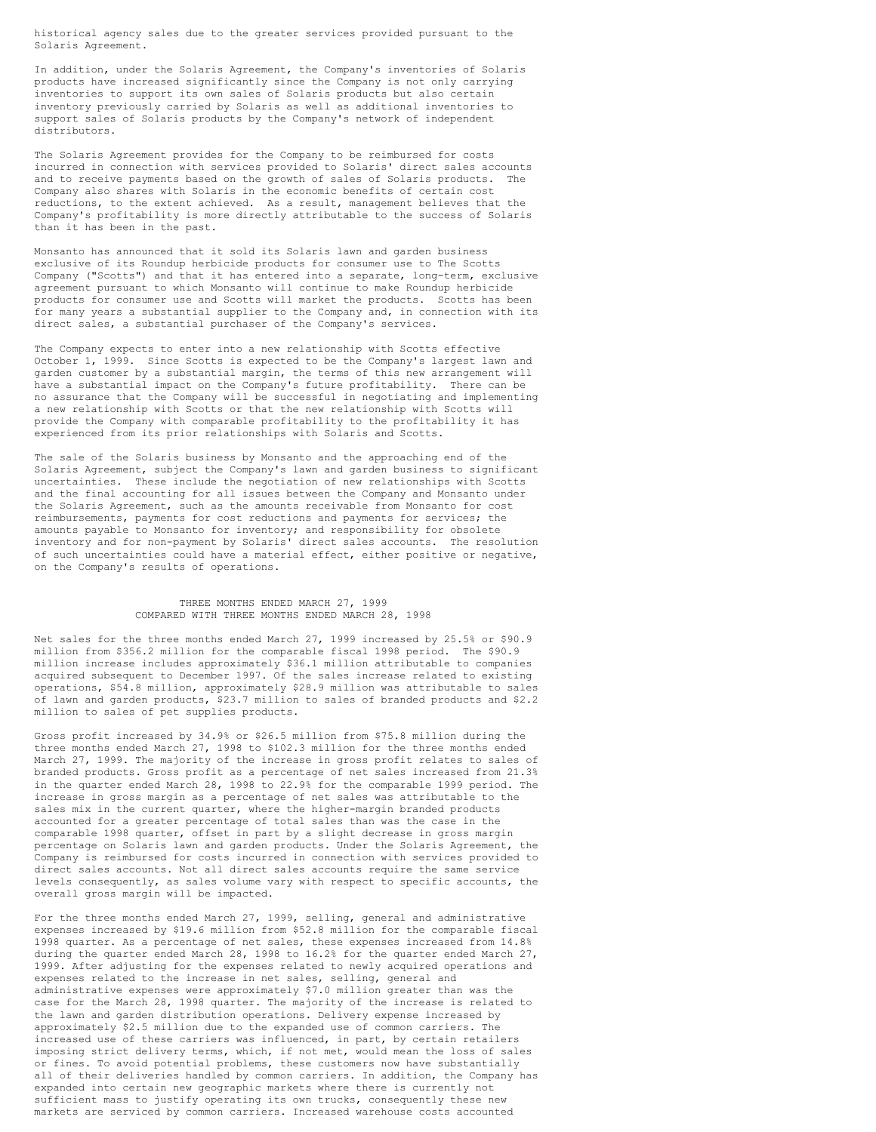historical agency sales due to the greater services provided pursuant to the Solaris Agreement.

In addition, under the Solaris Agreement, the Company's inventories of Solaris products have increased significantly since the Company is not only carrying inventories to support its own sales of Solaris products but also certain inventory previously carried by Solaris as well as additional inventories to support sales of Solaris products by the Company's network of independent distributors.

The Solaris Agreement provides for the Company to be reimbursed for costs incurred in connection with services provided to Solaris' direct sales accounts and to receive payments based on the growth of sales of Solaris products. The Company also shares with Solaris in the economic benefits of certain cost reductions, to the extent achieved. As a result, management believes that the Company's profitability is more directly attributable to the success of Solaris than it has been in the past.

Monsanto has announced that it sold its Solaris lawn and garden business exclusive of its Roundup herbicide products for consumer use to The Scotts Company ("Scotts") and that it has entered into a separate, long-term, exclusive agreement pursuant to which Monsanto will continue to make Roundup herbicide products for consumer use and Scotts will market the products. Scotts has been for many years a substantial supplier to the Company and, in connection with its direct sales, a substantial purchaser of the Company's services.

The Company expects to enter into a new relationship with Scotts effective October 1, 1999. Since Scotts is expected to be the Company's largest lawn and garden customer by a substantial margin, the terms of this new arrangement will have a substantial impact on the Company's future profitability. There can be no assurance that the Company will be successful in negotiating and implementing a new relationship with Scotts or that the new relationship with Scotts will provide the Company with comparable profitability to the profitability it has experienced from its prior relationships with Solaris and Scotts.

The sale of the Solaris business by Monsanto and the approaching end of the Solaris Agreement, subject the Company's lawn and garden business to significant uncertainties. These include the negotiation of new relationships with Scotts and the final accounting for all issues between the Company and Monsanto under the Solaris Agreement, such as the amounts receivable from Monsanto for cost reimbursements, payments for cost reductions and payments for services; the amounts payable to Monsanto for inventory; and responsibility for obsolete inventory and for non-payment by Solaris' direct sales accounts. The resolution of such uncertainties could have a material effect, either positive or negative, on the Company's results of operations.

#### THREE MONTHS ENDED MARCH 27, 1999 COMPARED WITH THREE MONTHS ENDED MARCH 28, 1998

Net sales for the three months ended March 27, 1999 increased by 25.5% or \$90.9 million from \$356.2 million for the comparable fiscal 1998 period. The \$90.9 million increase includes approximately \$36.1 million attributable to companies acquired subsequent to December 1997. Of the sales increase related to existing operations, \$54.8 million, approximately \$28.9 million was attributable to sales of lawn and garden products, \$23.7 million to sales of branded products and \$2.2 million to sales of pet supplies products.

Gross profit increased by 34.9% or \$26.5 million from \$75.8 million during the three months ended March 27, 1998 to \$102.3 million for the three months ended March 27, 1999. The majority of the increase in gross profit relates to sales of branded products. Gross profit as a percentage of net sales increased from 21.3% in the quarter ended March 28, 1998 to 22.9% for the comparable 1999 period. The increase in gross margin as a percentage of net sales was attributable to the sales mix in the current quarter, where the higher-margin branded products accounted for a greater percentage of total sales than was the case in the comparable 1998 quarter, offset in part by a slight decrease in gross margin percentage on Solaris lawn and garden products. Under the Solaris Agreement, the Company is reimbursed for costs incurred in connection with services provided to direct sales accounts. Not all direct sales accounts require the same service levels consequently, as sales volume vary with respect to specific accounts, the overall gross margin will be impacted.

For the three months ended March 27, 1999, selling, general and administrative expenses increased by \$19.6 million from \$52.8 million for the comparable fiscal 1998 quarter. As a percentage of net sales, these expenses increased from 14.8% during the quarter ended March 28, 1998 to 16.2% for the quarter ended March 27, 1999. After adjusting for the expenses related to newly acquired operations and expenses related to the increase in net sales, selling, general and administrative expenses were approximately \$7.0 million greater than was the case for the March 28, 1998 quarter. The majority of the increase is related to the lawn and garden distribution operations. Delivery expense increased by approximately \$2.5 million due to the expanded use of common carriers. The increased use of these carriers was influenced, in part, by certain retailers imposing strict delivery terms, which, if not met, would mean the loss of sales or fines. To avoid potential problems, these customers now have substantially all of their deliveries handled by common carriers. In addition, the Company has expanded into certain new geographic markets where there is currently not sufficient mass to justify operating its own trucks, consequently these new markets are serviced by common carriers. Increased warehouse costs accounted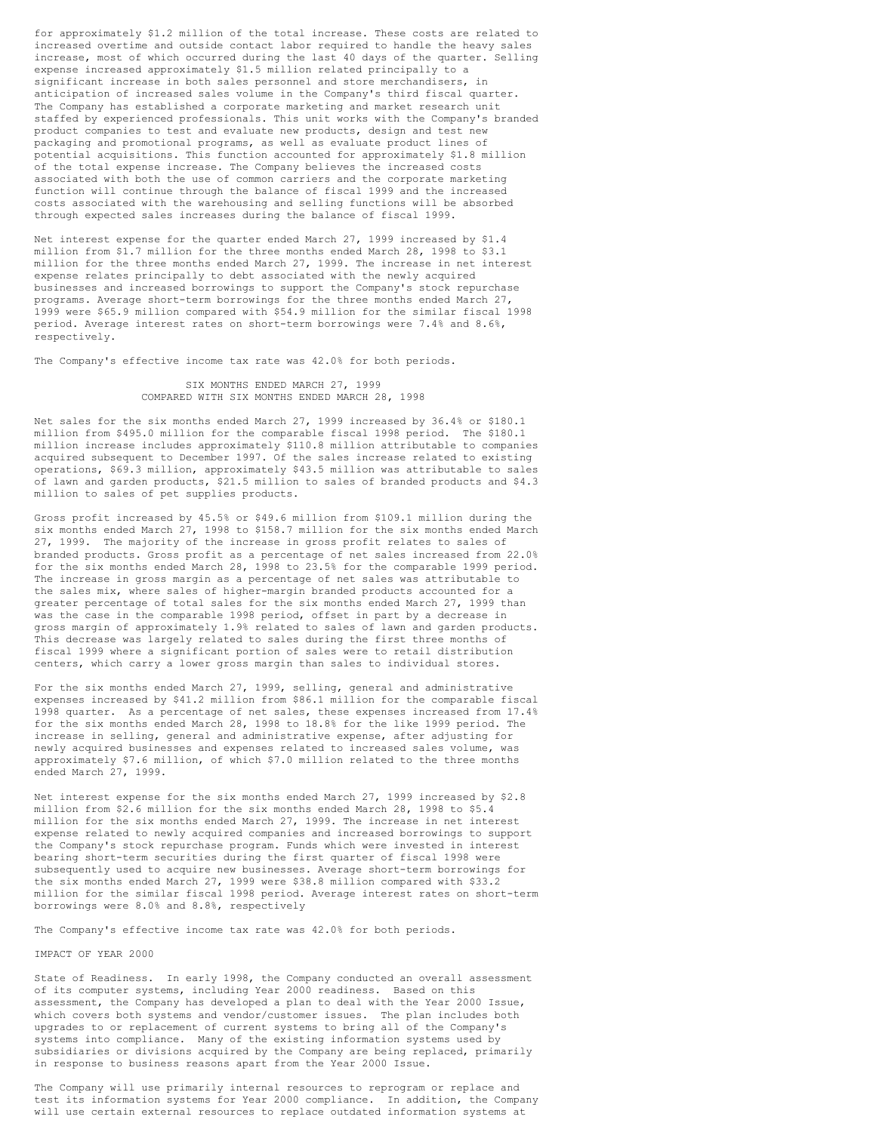for approximately \$1.2 million of the total increase. These costs are related to increased overtime and outside contact labor required to handle the heavy sales increase, most of which occurred during the last 40 days of the quarter. Selling expense increased approximately \$1.5 million related principally to a significant increase in both sales personnel and store merchandisers, in anticipation of increased sales volume in the Company's third fiscal quarter. The Company has established a corporate marketing and market research unit staffed by experienced professionals. This unit works with the Company's branded product companies to test and evaluate new products, design and test new packaging and promotional programs, as well as evaluate product lines of potential acquisitions. This function accounted for approximately \$1.8 million of the total expense increase. The Company believes the increased costs associated with both the use of common carriers and the corporate marketing function will continue through the balance of fiscal 1999 and the increased costs associated with the warehousing and selling functions will be absorbed through expected sales increases during the balance of fiscal 1999.

Net interest expense for the quarter ended March 27, 1999 increased by \$1.4 million from \$1.7 million for the three months ended March 28, 1998 to \$3.1 million for the three months ended March 27, 1999. The increase in net interest expense relates principally to debt associated with the newly acquired businesses and increased borrowings to support the Company's stock repurchase programs. Average short-term borrowings for the three months ended March 27, 1999 were \$65.9 million compared with \$54.9 million for the similar fiscal 1998 period. Average interest rates on short-term borrowings were 7.4% and 8.6%, respectively.

The Company's effective income tax rate was 42.0% for both periods.

### SIX MONTHS ENDED MARCH 27, 1999 COMPARED WITH SIX MONTHS ENDED MARCH 28, 1998

Net sales for the six months ended March 27, 1999 increased by 36.4% or \$180.1 million from \$495.0 million for the comparable fiscal 1998 period. The \$180.1 million increase includes approximately \$110.8 million attributable to companies acquired subsequent to December 1997. Of the sales increase related to existing operations, \$69.3 million, approximately \$43.5 million was attributable to sales of lawn and garden products, \$21.5 million to sales of branded products and \$4.3 million to sales of pet supplies products.

Gross profit increased by 45.5% or \$49.6 million from \$109.1 million during the six months ended March 27, 1998 to \$158.7 million for the six months ended March 27, 1999. The majority of the increase in gross profit relates to sales of branded products. Gross profit as a percentage of net sales increased from 22.0% for the six months ended March 28, 1998 to 23.5% for the comparable 1999 period. The increase in gross margin as a percentage of net sales was attributable to the sales mix, where sales of higher-margin branded products accounted for a greater percentage of total sales for the six months ended March 27, 1999 than was the case in the comparable 1998 period, offset in part by a decrease in gross margin of approximately 1.9% related to sales of lawn and garden products. This decrease was largely related to sales during the first three months of fiscal 1999 where a significant portion of sales were to retail distribution centers, which carry a lower gross margin than sales to individual stores.

For the six months ended March 27, 1999, selling, general and administrative expenses increased by \$41.2 million from \$86.1 million for the comparable fiscal 1998 quarter. As a percentage of net sales, these expenses increased from 17.4% for the six months ended March 28, 1998 to 18.8% for the like 1999 period. The increase in selling, general and administrative expense, after adjusting for newly acquired businesses and expenses related to increased sales volume, was approximately \$7.6 million, of which \$7.0 million related to the three months ended March 27, 1999.

Net interest expense for the six months ended March 27, 1999 increased by \$2.8 million from \$2.6 million for the six months ended March 28, 1998 to \$5.4 million for the six months ended March 27, 1999. The increase in net interest expense related to newly acquired companies and increased borrowings to support the Company's stock repurchase program. Funds which were invested in interest bearing short-term securities during the first quarter of fiscal 1998 were subsequently used to acquire new businesses. Average short-term borrowings for the six months ended March 27, 1999 were \$38.8 million compared with \$33.2 million for the similar fiscal 1998 period. Average interest rates on short-term borrowings were 8.0% and 8.8%, respectively

The Company's effective income tax rate was 42.0% for both periods.

#### IMPACT OF YEAR 2000

State of Readiness. In early 1998, the Company conducted an overall assessment of its computer systems, including Year 2000 readiness. Based on this assessment, the Company has developed a plan to deal with the Year 2000 Issue, which covers both systems and vendor/customer issues. The plan includes both upgrades to or replacement of current systems to bring all of the Company's systems into compliance. Many of the existing information systems used by subsidiaries or divisions acquired by the Company are being replaced, primarily in response to business reasons apart from the Year 2000 Issue.

The Company will use primarily internal resources to reprogram or replace and test its information systems for Year 2000 compliance. In addition, the Company will use certain external resources to replace outdated information systems at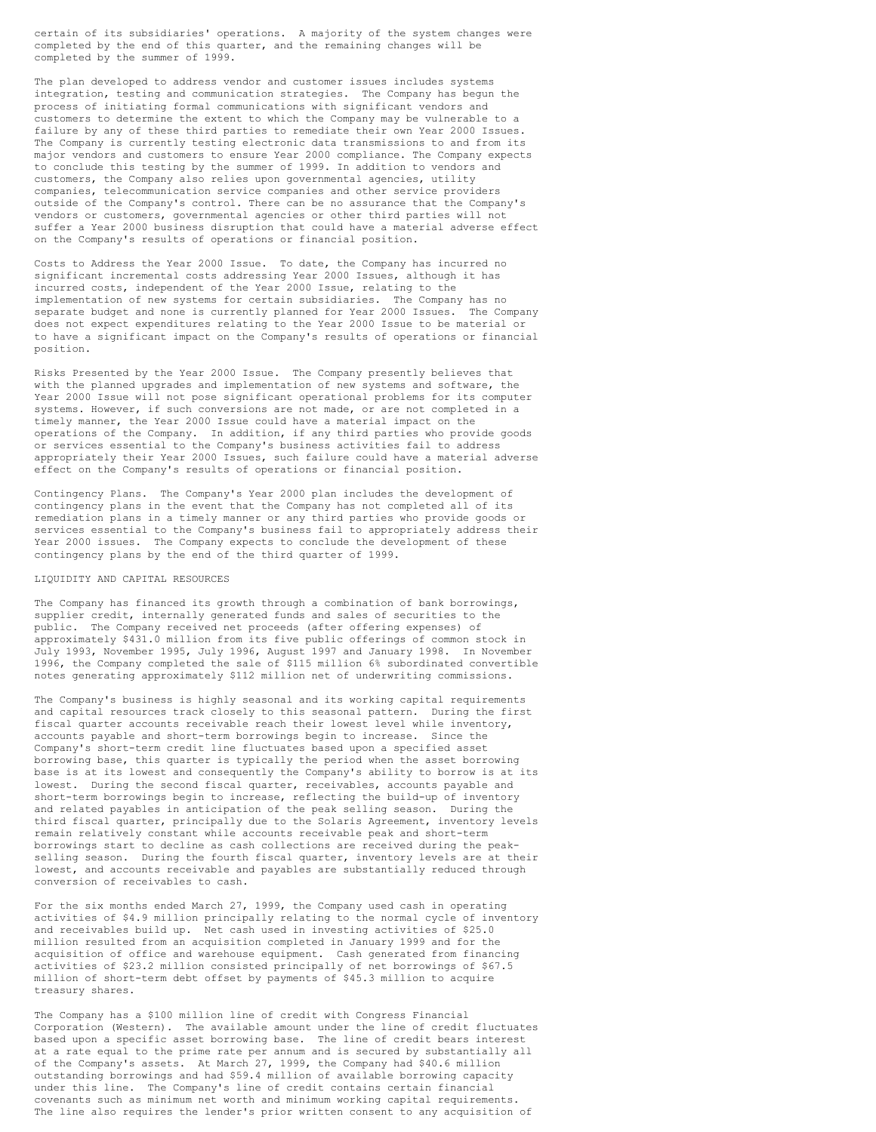certain of its subsidiaries' operations. A majority of the system changes were completed by the end of this quarter, and the remaining changes will be completed by the summer of 1999.

The plan developed to address vendor and customer issues includes systems integration, testing and communication strategies. The Company has begun the process of initiating formal communications with significant vendors and customers to determine the extent to which the Company may be vulnerable to a failure by any of these third parties to remediate their own Year 2000 Issues. The Company is currently testing electronic data transmissions to and from its major vendors and customers to ensure Year 2000 compliance. The Company expects to conclude this testing by the summer of 1999. In addition to vendors and customers, the Company also relies upon governmental agencies, utility companies, telecommunication service companies and other service providers outside of the Company's control. There can be no assurance that the Company's vendors or customers, governmental agencies or other third parties will not suffer a Year 2000 business disruption that could have a material adverse effect on the Company's results of operations or financial position.

Costs to Address the Year 2000 Issue. To date, the Company has incurred no significant incremental costs addressing Year 2000 Issues, although it has incurred costs, independent of the Year 2000 Issue, relating to the implementation of new systems for certain subsidiaries. The Company has no separate budget and none is currently planned for Year 2000 Issues. The Company does not expect expenditures relating to the Year 2000 Issue to be material or to have a significant impact on the Company's results of operations or financial position.

Risks Presented by the Year 2000 Issue. The Company presently believes that with the planned upgrades and implementation of new systems and software, the Year 2000 Issue will not pose significant operational problems for its computer systems. However, if such conversions are not made, or are not completed in a timely manner, the Year 2000 Issue could have a material impact on the operations of the Company. In addition, if any third parties who provide goods or services essential to the Company's business activities fail to address appropriately their Year 2000 Issues, such failure could have a material adverse effect on the Company's results of operations or financial position.

Contingency Plans. The Company's Year 2000 plan includes the development of contingency plans in the event that the Company has not completed all of its remediation plans in a timely manner or any third parties who provide goods or services essential to the Company's business fail to appropriately address their Year 2000 issues. The Company expects to conclude the development of these contingency plans by the end of the third quarter of 1999.

#### LIQUIDITY AND CAPITAL RESOURCES

The Company has financed its growth through a combination of bank borrowings, supplier credit, internally generated funds and sales of securities to the public. The Company received net proceeds (after offering expenses) of approximately \$431.0 million from its five public offerings of common stock in July 1993, November 1995, July 1996, August 1997 and January 1998. In November 1996, the Company completed the sale of \$115 million 6% subordinated convertible notes generating approximately \$112 million net of underwriting commissions.

The Company's business is highly seasonal and its working capital requirements and capital resources track closely to this seasonal pattern. During the first fiscal quarter accounts receivable reach their lowest level while inventory, accounts payable and short-term borrowings begin to increase. Since the Company's short-term credit line fluctuates based upon a specified asset borrowing base, this quarter is typically the period when the asset borrowing base is at its lowest and consequently the Company's ability to borrow is at its lowest. During the second fiscal quarter, receivables, accounts payable and short-term borrowings begin to increase, reflecting the build-up of inventory and related payables in anticipation of the peak selling season. During the third fiscal quarter, principally due to the Solaris Agreement, inventory levels remain relatively constant while accounts receivable peak and short-term borrowings start to decline as cash collections are received during the peakselling season. During the fourth fiscal quarter, inventory levels are at their lowest, and accounts receivable and payables are substantially reduced through conversion of receivables to cash.

For the six months ended March 27, 1999, the Company used cash in operating activities of \$4.9 million principally relating to the normal cycle of inventory and receivables build up. Net cash used in investing activities of \$25.0 million resulted from an acquisition completed in January 1999 and for the acquisition of office and warehouse equipment. Cash generated from financing activities of \$23.2 million consisted principally of net borrowings of \$67.5 million of short-term debt offset by payments of \$45.3 million to acquire treasury shares.

The Company has a \$100 million line of credit with Congress Financial Corporation (Western). The available amount under the line of credit fluctuates based upon a specific asset borrowing base. The line of credit bears interest at a rate equal to the prime rate per annum and is secured by substantially all of the Company's assets. At March 27, 1999, the Company had \$40.6 million outstanding borrowings and had \$59.4 million of available borrowing capacity under this line. The Company's line of credit contains certain financial covenants such as minimum net worth and minimum working capital requirements. The line also requires the lender's prior written consent to any acquisition of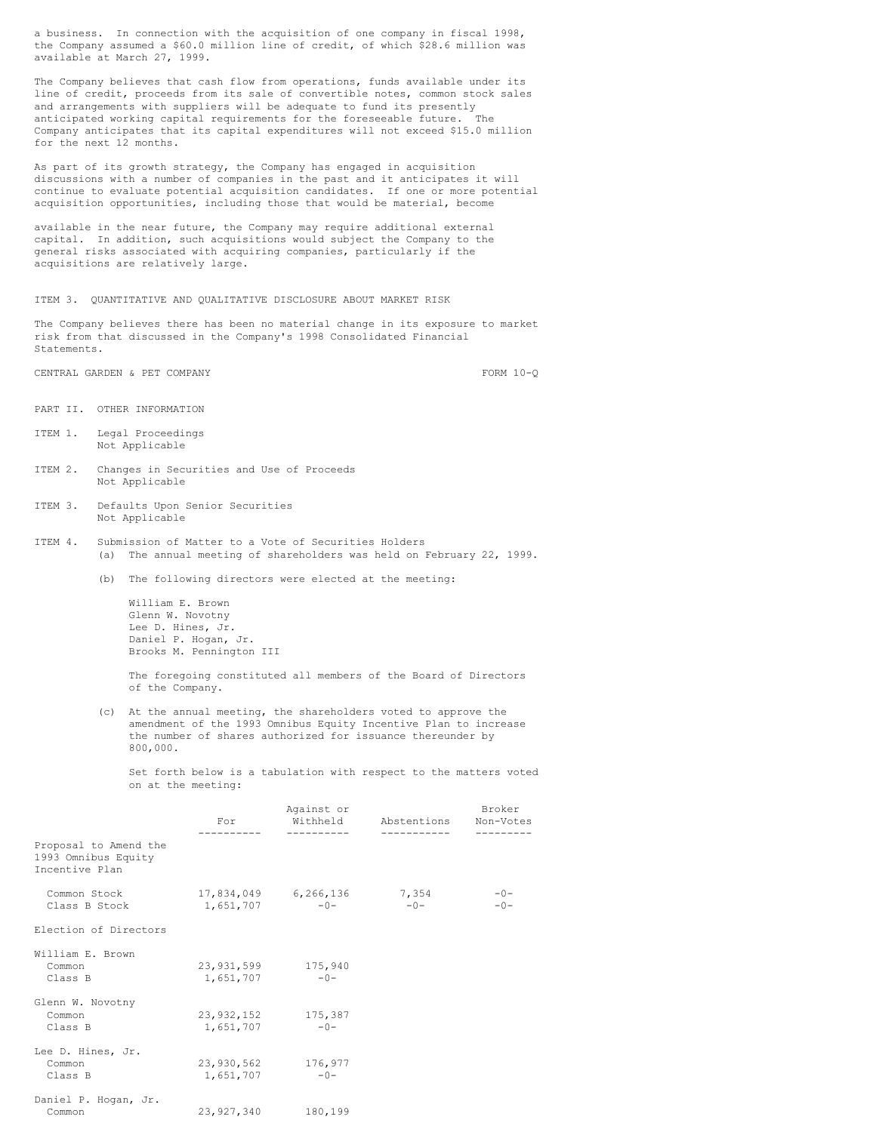a business. In connection with the acquisition of one company in fiscal 1998, the Company assumed a \$60.0 million line of credit, of which \$28.6 million was available at March 27, 1999.

The Company believes that cash flow from operations, funds available under its line of credit, proceeds from its sale of convertible notes, common stock sales and arrangements with suppliers will be adequate to fund its presently anticipated working capital requirements for the foreseeable future. The Company anticipates that its capital expenditures will not exceed \$15.0 million for the next 12 months.

As part of its growth strategy, the Company has engaged in acquisition discussions with a number of companies in the past and it anticipates it will continue to evaluate potential acquisition candidates. If one or more potential acquisition opportunities, including those that would be material, become

available in the near future, the Company may require additional external capital. In addition, such acquisitions would subject the Company to the general risks associated with acquiring companies, particularly if the acquisitions are relatively large.

#### ITEM 3. QUANTITATIVE AND QUALITATIVE DISCLOSURE ABOUT MARKET RISK

The Company believes there has been no material change in its exposure to market risk from that discussed in the Company's 1998 Consolidated Financial Statements.

CENTRAL GARDEN & PET COMPANY FORM 10-Q

- PART II. OTHER INFORMATION
- ITEM 1. Legal Proceedings Not Applicable
- ITEM 2. Changes in Securities and Use of Proceeds Not Applicable
- ITEM 3. Defaults Upon Senior Securities Not Applicable
- ITEM 4. Submission of Matter to a Vote of Securities Holders (a) The annual meeting of shareholders was held on February 22, 1999.
	- (b) The following directors were elected at the meeting:

William E. Brown Glenn W. Novotny Lee D. Hines, Jr. Daniel P. Hogan, Jr. Brooks M. Pennington III

The foregoing constituted all members of the Board of Directors of the Company.

(c) At the annual meeting, the shareholders voted to approve the amendment of the 1993 Omnibus Equity Incentive Plan to increase the number of shares authorized for issuance thereunder by 800,000.

Set forth below is a tabulation with respect to the matters voted on at the meeting:

|                                                                |                    | Against or                                    |                      | Broker         |  |  |
|----------------------------------------------------------------|--------------------|-----------------------------------------------|----------------------|----------------|--|--|
|                                                                | For                |                                               | Withheld Abstentions | Non-Votes      |  |  |
| Proposal to Amend the<br>1993 Omnibus Equity<br>Incentive Plan |                    |                                               |                      |                |  |  |
| Common Stock<br>Class B Stock                                  |                    | 17,834,049 6,266,136 7,354<br>$1,651,707$ -0- | $-0-$                | $-0-$<br>$-0-$ |  |  |
| Election of Directors                                          |                    |                                               |                      |                |  |  |
| William E. Brown                                               |                    |                                               |                      |                |  |  |
| Common                                                         | 23,931,599 175,940 |                                               |                      |                |  |  |
| Class B                                                        | 1,651,707          | $-0-$                                         |                      |                |  |  |
| Glenn W. Novotny                                               |                    |                                               |                      |                |  |  |
| Common                                                         | 23,932,152 175,387 |                                               |                      |                |  |  |
| Class B                                                        | $1,651,707$ -0-    |                                               |                      |                |  |  |
| Lee D. Hines, Jr.                                              |                    |                                               |                      |                |  |  |
| Common                                                         |                    | 23,930,562 176,977                            |                      |                |  |  |
| Class B                                                        | 1,651,707          | $-0-$                                         |                      |                |  |  |
| Daniel P. Hogan, Jr.                                           |                    |                                               |                      |                |  |  |
| Common                                                         | 23,927,340         | 180,199                                       |                      |                |  |  |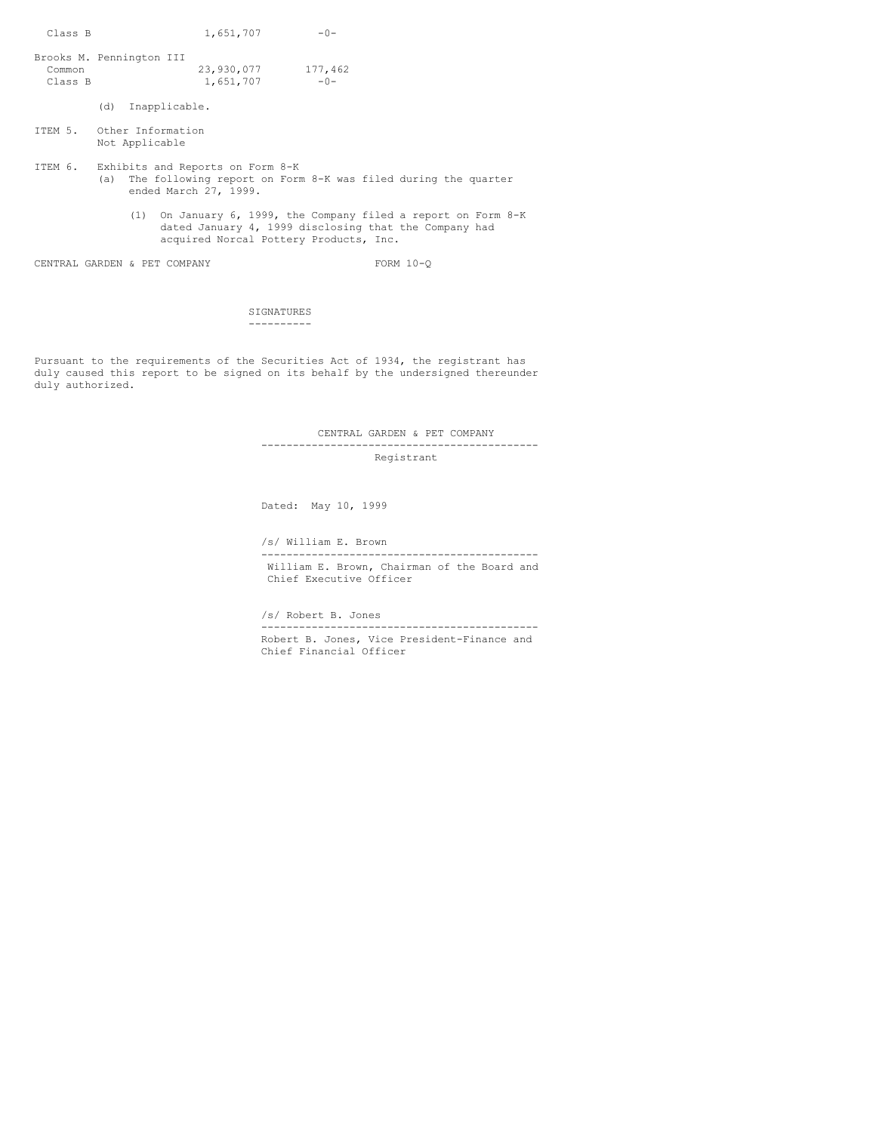Class B  $1,651,707$  -0-Brooks M. Pennington III Common 23,930,077 177,462 Class B  $1,651,707$   $-0-$ (d) Inapplicable. ITEM 5. Other Information Not Applicable ITEM 6. Exhibits and Reports on Form 8-K (a) The following report on Form 8-K was filed during the quarter ended March 27, 1999. (1) On January 6, 1999, the Company filed a report on Form 8-K dated January 4, 1999 disclosing that the Company had acquired Norcal Pottery Products, Inc. CENTRAL GARDEN & PET COMPANY FORM 10-Q

> SIGNATURES ----------

Pursuant to the requirements of the Securities Act of 1934, the registrant has duly caused this report to be signed on its behalf by the undersigned thereunder duly authorized.

> CENTRAL GARDEN & PET COMPANY -------------------------------------------- Registrant

Dated: May 10, 1999

/s/ William E. Brown

William E. Brown, Chairman of the Board and Chief Executive Officer

--------------------------------------------

--------------------------------------------

/s/ Robert B. Jones

Robert B. Jones, Vice President-Finance and Chief Financial Officer